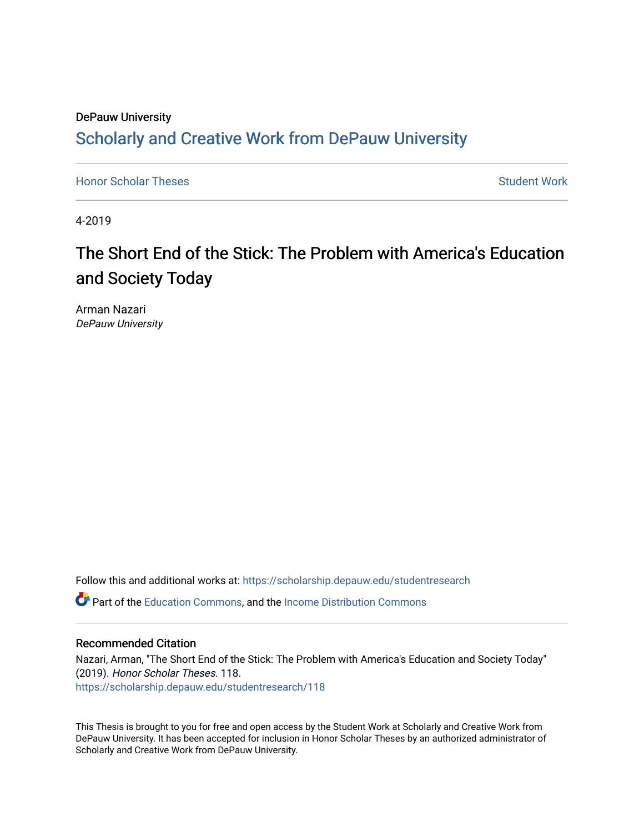# DePauw University Scholarly and [Creative Work from DePauw Univ](https://scholarship.depauw.edu/)ersity

**[Honor Scholar Theses](https://scholarship.depauw.edu/studentresearch) [Student Work](https://scholarship.depauw.edu/studentwork) Student Work Student Work** 

4-2019

# The Short End of the Stick: The Problem with America's Education and Society Today

Arman Nazari DePauw University

Follow this and additional works at: [https://scholarship.depauw.edu/studentresearch](https://scholarship.depauw.edu/studentresearch?utm_source=scholarship.depauw.edu%2Fstudentresearch%2F118&utm_medium=PDF&utm_campaign=PDFCoverPages)

Part of the [Education Commons](https://network.bepress.com/hgg/discipline/784?utm_source=scholarship.depauw.edu%2Fstudentresearch%2F118&utm_medium=PDF&utm_campaign=PDFCoverPages), and the [Income Distribution Commons](https://network.bepress.com/hgg/discipline/1269?utm_source=scholarship.depauw.edu%2Fstudentresearch%2F118&utm_medium=PDF&utm_campaign=PDFCoverPages) 

## Recommended Citation

Nazari, Arman, "The Short End of the Stick: The Problem with America's Education and Society Today" (2019). Honor Scholar Theses. 118. [https://scholarship.depauw.edu/studentresearch/118](https://scholarship.depauw.edu/studentresearch/118?utm_source=scholarship.depauw.edu%2Fstudentresearch%2F118&utm_medium=PDF&utm_campaign=PDFCoverPages)

This Thesis is brought to you for free and open access by the Student Work at Scholarly and Creative Work from DePauw University. It has been accepted for inclusion in Honor Scholar Theses by an authorized administrator of Scholarly and Creative Work from DePauw University.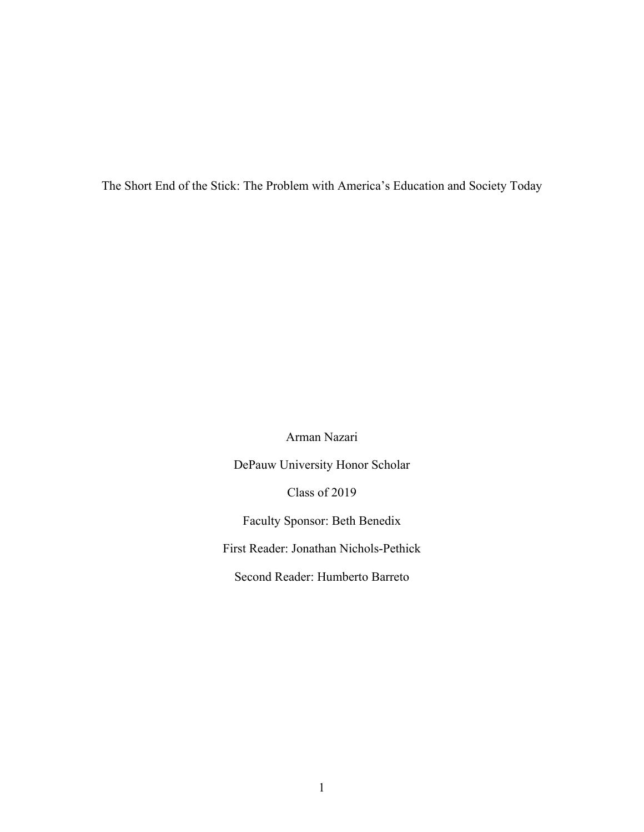The Short End of the Stick: The Problem with America's Education and Society Today

Arman Nazari

DePauw University Honor Scholar

Class of 2019

Faculty Sponsor: Beth Benedix

First Reader: Jonathan Nichols-Pethick

Second Reader: Humberto Barreto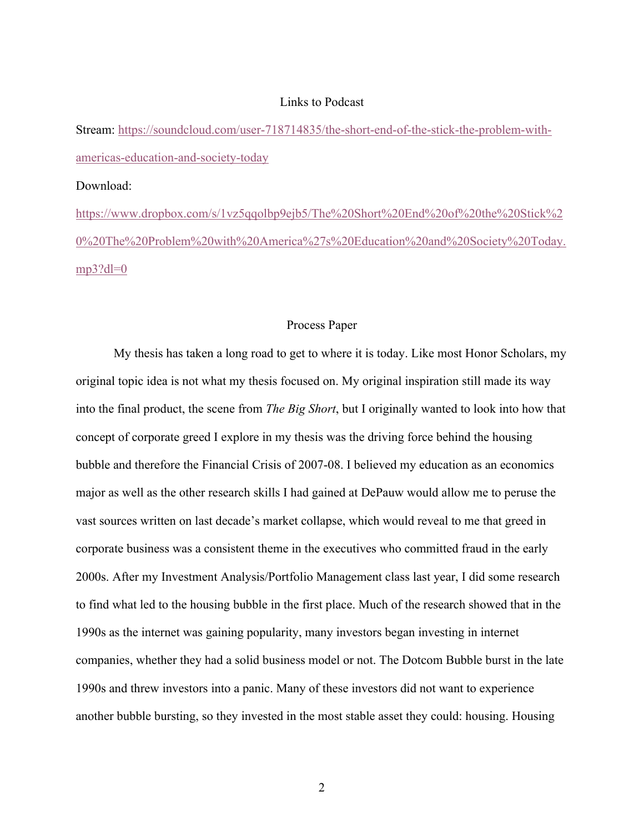#### Links to Podcast

Stream: https://soundcloud.com/user-718714835/the-short-end-of-the-stick-the-problem-withamericas-education-and-society-today

#### Download:

https://www.dropbox.com/s/1vz5qqolbp9ejb5/The%20Short%20End%20of%20the%20Stick%2 0%20The%20Problem%20with%20America%27s%20Education%20and%20Society%20Today.  $mp3?dl=0$ 

#### Process Paper

My thesis has taken a long road to get to where it is today. Like most Honor Scholars, my original topic idea is not what my thesis focused on. My original inspiration still made its way into the final product, the scene from *The Big Short*, but I originally wanted to look into how that concept of corporate greed I explore in my thesis was the driving force behind the housing bubble and therefore the Financial Crisis of 2007-08. I believed my education as an economics major as well as the other research skills I had gained at DePauw would allow me to peruse the vast sources written on last decade's market collapse, which would reveal to me that greed in corporate business was a consistent theme in the executives who committed fraud in the early 2000s. After my Investment Analysis/Portfolio Management class last year, I did some research to find what led to the housing bubble in the first place. Much of the research showed that in the 1990s as the internet was gaining popularity, many investors began investing in internet companies, whether they had a solid business model or not. The Dotcom Bubble burst in the late 1990s and threw investors into a panic. Many of these investors did not want to experience another bubble bursting, so they invested in the most stable asset they could: housing. Housing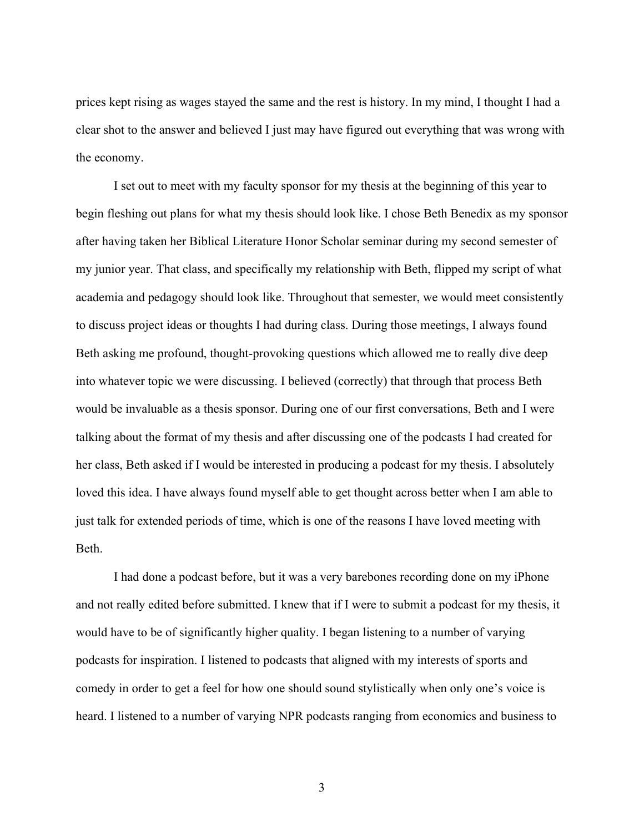prices kept rising as wages stayed the same and the rest is history. In my mind, I thought I had a clear shot to the answer and believed I just may have figured out everything that was wrong with the economy.

I set out to meet with my faculty sponsor for my thesis at the beginning of this year to begin fleshing out plans for what my thesis should look like. I chose Beth Benedix as my sponsor after having taken her Biblical Literature Honor Scholar seminar during my second semester of my junior year. That class, and specifically my relationship with Beth, flipped my script of what academia and pedagogy should look like. Throughout that semester, we would meet consistently to discuss project ideas or thoughts I had during class. During those meetings, I always found Beth asking me profound, thought-provoking questions which allowed me to really dive deep into whatever topic we were discussing. I believed (correctly) that through that process Beth would be invaluable as a thesis sponsor. During one of our first conversations, Beth and I were talking about the format of my thesis and after discussing one of the podcasts I had created for her class, Beth asked if I would be interested in producing a podcast for my thesis. I absolutely loved this idea. I have always found myself able to get thought across better when I am able to just talk for extended periods of time, which is one of the reasons I have loved meeting with Beth.

I had done a podcast before, but it was a very barebones recording done on my iPhone and not really edited before submitted. I knew that if I were to submit a podcast for my thesis, it would have to be of significantly higher quality. I began listening to a number of varying podcasts for inspiration. I listened to podcasts that aligned with my interests of sports and comedy in order to get a feel for how one should sound stylistically when only one's voice is heard. I listened to a number of varying NPR podcasts ranging from economics and business to

3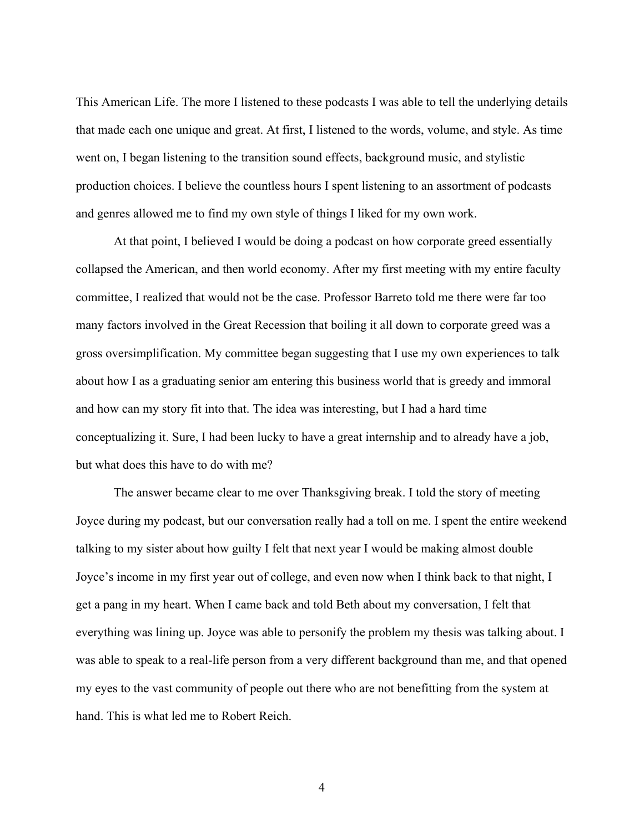This American Life. The more I listened to these podcasts I was able to tell the underlying details that made each one unique and great. At first, I listened to the words, volume, and style. As time went on, I began listening to the transition sound effects, background music, and stylistic production choices. I believe the countless hours I spent listening to an assortment of podcasts and genres allowed me to find my own style of things I liked for my own work.

At that point, I believed I would be doing a podcast on how corporate greed essentially collapsed the American, and then world economy. After my first meeting with my entire faculty committee, I realized that would not be the case. Professor Barreto told me there were far too many factors involved in the Great Recession that boiling it all down to corporate greed was a gross oversimplification. My committee began suggesting that I use my own experiences to talk about how I as a graduating senior am entering this business world that is greedy and immoral and how can my story fit into that. The idea was interesting, but I had a hard time conceptualizing it. Sure, I had been lucky to have a great internship and to already have a job, but what does this have to do with me?

The answer became clear to me over Thanksgiving break. I told the story of meeting Joyce during my podcast, but our conversation really had a toll on me. I spent the entire weekend talking to my sister about how guilty I felt that next year I would be making almost double Joyce's income in my first year out of college, and even now when I think back to that night, I get a pang in my heart. When I came back and told Beth about my conversation, I felt that everything was lining up. Joyce was able to personify the problem my thesis was talking about. I was able to speak to a real-life person from a very different background than me, and that opened my eyes to the vast community of people out there who are not benefitting from the system at hand. This is what led me to Robert Reich.

4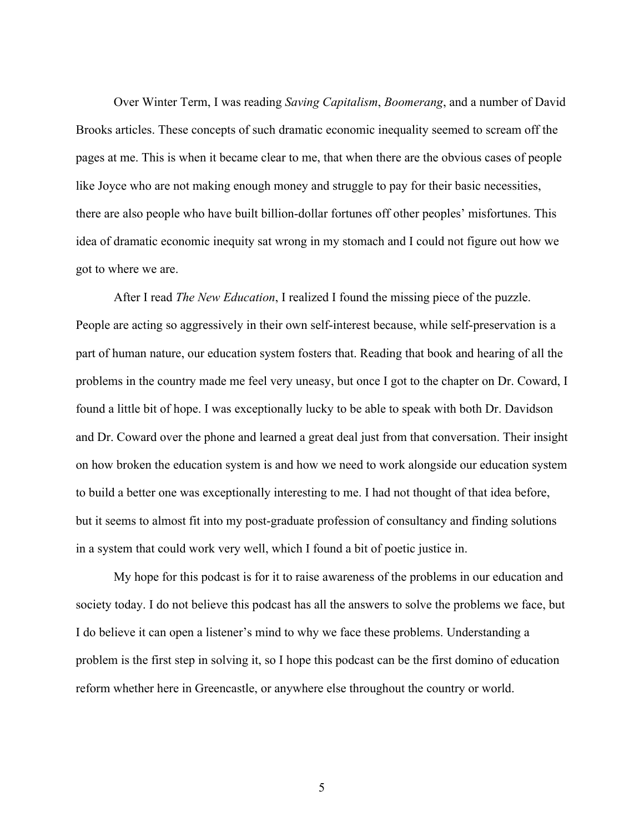Over Winter Term, I was reading *Saving Capitalism*, *Boomerang*, and a number of David Brooks articles. These concepts of such dramatic economic inequality seemed to scream off the pages at me. This is when it became clear to me, that when there are the obvious cases of people like Joyce who are not making enough money and struggle to pay for their basic necessities, there are also people who have built billion-dollar fortunes off other peoples' misfortunes. This idea of dramatic economic inequity sat wrong in my stomach and I could not figure out how we got to where we are.

After I read *The New Education*, I realized I found the missing piece of the puzzle. People are acting so aggressively in their own self-interest because, while self-preservation is a part of human nature, our education system fosters that. Reading that book and hearing of all the problems in the country made me feel very uneasy, but once I got to the chapter on Dr. Coward, I found a little bit of hope. I was exceptionally lucky to be able to speak with both Dr. Davidson and Dr. Coward over the phone and learned a great deal just from that conversation. Their insight on how broken the education system is and how we need to work alongside our education system to build a better one was exceptionally interesting to me. I had not thought of that idea before, but it seems to almost fit into my post-graduate profession of consultancy and finding solutions in a system that could work very well, which I found a bit of poetic justice in.

My hope for this podcast is for it to raise awareness of the problems in our education and society today. I do not believe this podcast has all the answers to solve the problems we face, but I do believe it can open a listener's mind to why we face these problems. Understanding a problem is the first step in solving it, so I hope this podcast can be the first domino of education reform whether here in Greencastle, or anywhere else throughout the country or world.

5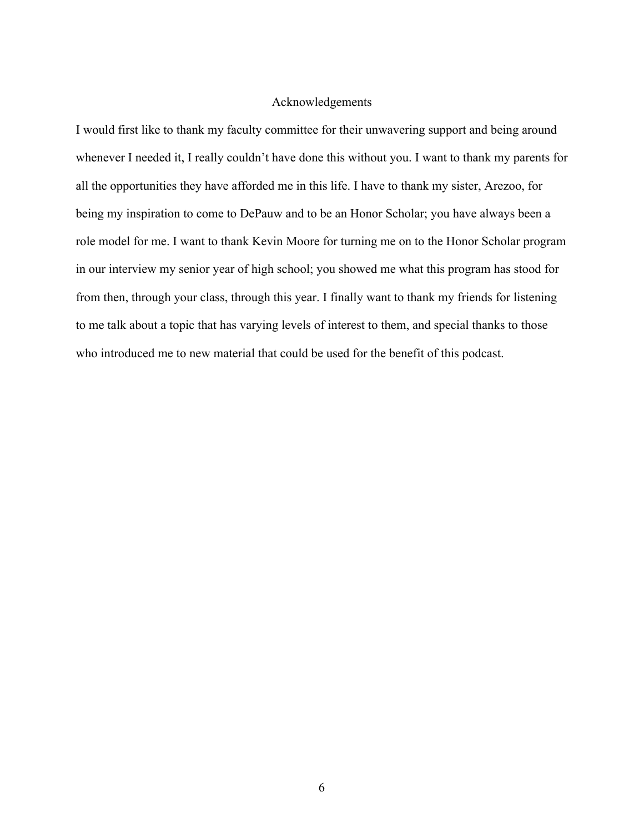## Acknowledgements

I would first like to thank my faculty committee for their unwavering support and being around whenever I needed it, I really couldn't have done this without you. I want to thank my parents for all the opportunities they have afforded me in this life. I have to thank my sister, Arezoo, for being my inspiration to come to DePauw and to be an Honor Scholar; you have always been a role model for me. I want to thank Kevin Moore for turning me on to the Honor Scholar program in our interview my senior year of high school; you showed me what this program has stood for from then, through your class, through this year. I finally want to thank my friends for listening to me talk about a topic that has varying levels of interest to them, and special thanks to those who introduced me to new material that could be used for the benefit of this podcast.